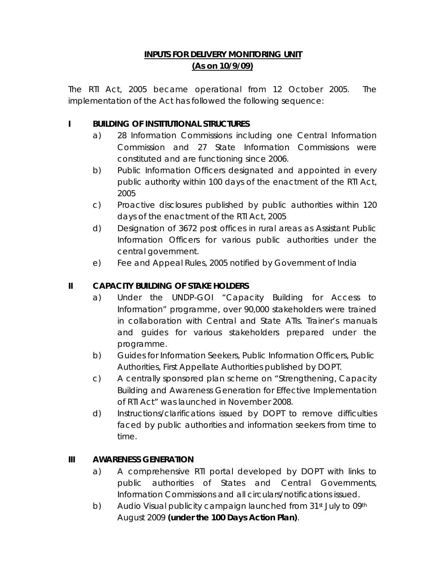## **INPUTS FOR DELIVERY MONITORING UNIT (As on 10/9/09)**

The RTI Act, 2005 became operational from 12 October 2005. The implementation of the Act has followed the following sequence:

## **I BUILDING OF INSTITUTIONAL STRUCTURES**

- a) 28 Information Commissions including one Central Information Commission and 27 State Information Commissions were constituted and are functioning since 2006.
- b) Public Information Officers designated and appointed in every public authority within 100 days of the enactment of the RTI Act, 2005
- c) Proactive disclosures published by public authorities within 120 days of the enactment of the RTI Act, 2005
- d) Designation of 3672 post offices in rural areas as Assistant Public Information Officers for various public authorities under the central government.
- e) Fee and Appeal Rules, 2005 notified by Government of India

# **II CAPACITY BUILDING OF STAKE HOLDERS**

- a) Under the UNDP-GOI "Capacity Building for Access to Information" programme, over 90,000 stakeholders were trained in collaboration with Central and State ATIs. Trainer's manuals and guides for various stakeholders prepared under the programme.
- b) Guides for Information Seekers, Public Information Officers, Public Authorities, First Appellate Authorities published by DOPT.
- c) A centrally sponsored plan scheme on "Strengthening, Capacity Building and Awareness Generation for Effective Implementation of RTI Act" was launched in November 2008.
- d) Instructions/clarifications issued by DOPT to remove difficulties faced by public authorities and information seekers from time to time.

## **III AWARENESS GENERATION**

- a) A comprehensive RTI portal developed by DOPT with links to public authorities of States and Central Governments, Information Commissions and all circulars/notifications issued.
- b) Audio Visual publicity campaign launched from 31<sup>st</sup> July to 09<sup>th</sup> August 2009 **(under the 100 Days Action Plan)**.